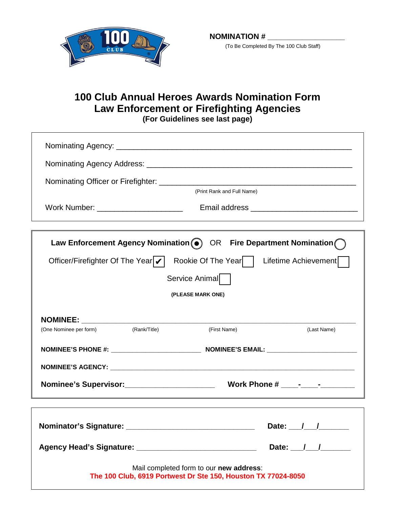

(To Be Completed By The 100 Club Staff)

## **100 Club Annual Heroes Awards Nomination Form Law Enforcement or Firefighting Agencies (For Guidelines see last page)**

|                                                                                                          |              | (Print Rank and Full Name) |                                        |
|----------------------------------------------------------------------------------------------------------|--------------|----------------------------|----------------------------------------|
| Work Number: ____________________________                                                                |              |                            |                                        |
|                                                                                                          |              |                            |                                        |
| Law Enforcement Agency Nomination (.) OR Fire Department Nomination (                                    |              |                            |                                        |
| Officer/Firefighter Of The Year v <br>Rookie Of The Year  <br>Lifetime Achievement                       |              |                            |                                        |
| Service Animal                                                                                           |              |                            |                                        |
| (PLEASE MARK ONE)                                                                                        |              |                            |                                        |
|                                                                                                          |              |                            |                                        |
|                                                                                                          |              |                            |                                        |
| (One Nominee per form)                                                                                   | (Rank/Title) | (First Name)               | (Last Name)                            |
|                                                                                                          |              |                            |                                        |
|                                                                                                          |              |                            |                                        |
|                                                                                                          |              |                            |                                        |
|                                                                                                          |              |                            |                                        |
|                                                                                                          |              |                            | Date: $\frac{1}{\sqrt{1-\frac{1}{2}}}$ |
|                                                                                                          |              |                            | Date: $\frac{1}{\sqrt{2}}$             |
| Mail completed form to our new address:<br>The 100 Club, 6919 Portwest Dr Ste 150, Houston TX 77024-8050 |              |                            |                                        |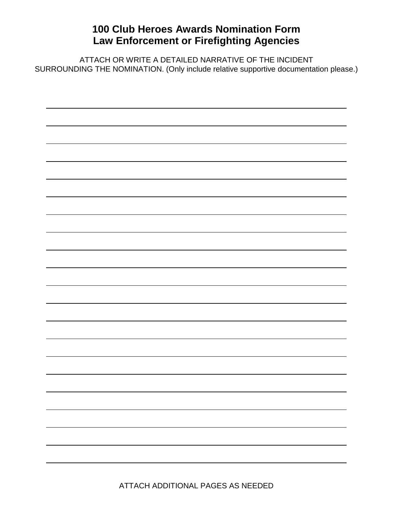## **100 Club Heroes Awards Nomination Form Law Enforcement or Firefighting Agencies**

ATTACH OR WRITE A DETAILED NARRATIVE OF THE INCIDENT SURROUNDING THE NOMINATION. (Only include relative supportive documentation please.)

 $\overline{a}$ 

ATTACH ADDITIONAL PAGES AS NEEDED